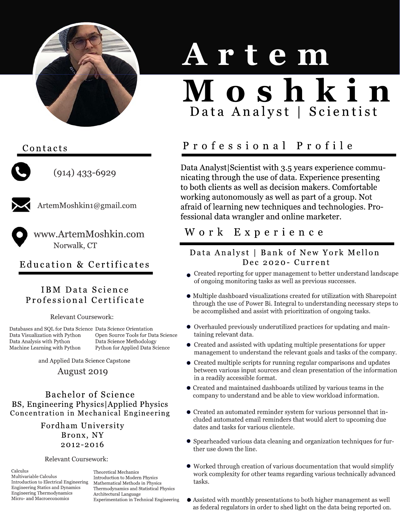

## Contacts



 $(914)$  433-6929



ArtemMoshkin1@gmail.com

www.ArtemMoshkin.com Norwalk, CT

Education& Certificates

## IBM Data Science ProfessionalCertificate

Relevant Coursework:

Databases and SQL for Data Science Data Science Orientation Open Source Tools for Data Science Data Science Methodology Python for Applied Data Science Data Visualization with Python Data Analysis with Python Machine Learning with Python

and Applied Data Science Capstone

### August 2019

Bachelor of Science BS, Engineering Physics Applied Physics Concentration in Mechanical Engineering

> Fordham University Bronx, NY 2012-2016

#### Relevant Coursework:

Calculus Multivariable Calculus Introduction to Electrical Engineering Engineering Statics and Dynamics Engineering Thermodynamics Micro- and Macroeconomics

Theoretical Mechanics Introduction to Modern Physics Mathematical Methods in Physics Thermodynamics and Statistical Physics Architectural Language Experimentation in Technical Engineering

# **Artem M o s h k i n** Data Analyst | Scientist

## Professional Profile

Data Analyst|Scientist with 3.5 years experience communicating through the use of data. Experience presenting to both clients as well as decision makers. Comfortable working autonomously as well as part of a group. Not afraid of learning new techniques and technologies. Professional data wrangler and online marketer.

## W ork Experience

## Data Analyst | Bank of New York Mellon Dec 2020 - Current

- $\bullet$  Created reporting for upper management to better understand landscape of ongoing monitoring tasks as well as previous successes.
- $\bullet$  Multiple dashboard visualizations created for utilization with Sharepoint through the use of Power Bi. Integral to understanding necessary steps to be accomplished and assist with prioritization of ongoing tasks.
- $\bullet$  Overhauled previously underutilized practices for updating and maintaining relevant data.
- $\bullet$  Created and assisted with updating multiple presentations for upper management to understand the relevant goals and tasks of the company.
- $\bullet$  Created multiple scripts for running regular comparisons and updates between various input sources and clean presentation of the information in a readily accessible format.
- $\bullet$  Created and maintained dashboards utilized by various teams in the company to understand and be able to view workload information.
- $\bullet$  Created an automated reminder system for various personnel that included automated email reminders that would alert to upcoming due dates and tasks for various clientele.
- Spearheaded various data cleaning and organization techniques for further use down the line.
- $\bullet$  Worked through creation of various documentation that would simplify work complexity for other teams regarding various technically advanced tasks.
- $\bullet$  Assisted with monthly presentations to both higher management as well as federal regulators in order to shed light on the data being reported on.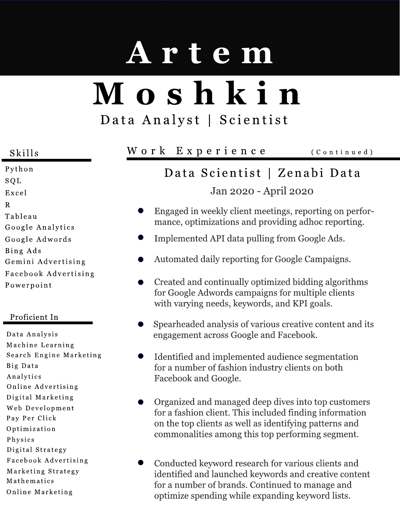# **Artem M oshkin** Data Analyst | Scientist

Python SQL Excel R Tableau GoogleAnalytics GoogleAdwords BingAds Gemini Advertising FacebookAdvertising Powerpoint

### Proficient In

DataAnalysis Machine Learning Search Engine Marketing BigData Analytics Online Advertising Digital Marketing Web Development Pay Per Click Optimization Physics Digital Strategy FacebookAdvertising Marketing Strategy Mathematics Online Marketing

## Skills Work Experience (Continued)

## Data Scientist | Zenabi Data Jan 2020 - April 2020

- Engaged in weekly client meetings, reporting on performance, optimizations and providing adhoc reporting.
- Implemented API data pulling from Google Ads.
- Automated daily reporting for Google Campaigns.
- Created and continually optimized bidding algorithms for Google Adwords campaigns for multiple clients with varying needs, keywords, and KPI goals.
- Spearheaded analysis of various creative content and its engagement across Google and Facebook.
- Identified and implemented audience segmentation  $\bullet$ for a number of fashion industry clients on both Facebook and Google.
- Organized and managed deep dives into top customers for a fashion client. This included finding information on the top clients as well as identifying patterns and commonalities among this top performing segment.
- Conducted keyword research for various clients and identified and launched keywords and creative content for a number of brands. Continued to manage and optimize spending while expanding keyword lists.